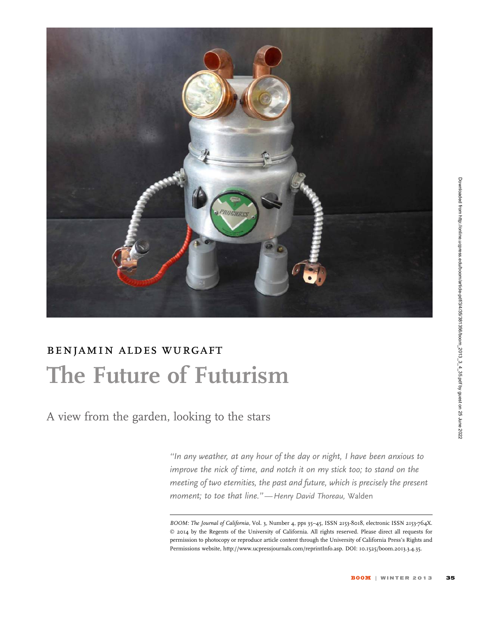

## benjamin aldes wurgaft The Future of Futurism

A view from the garden, looking to the stars

''In any weather, at any hour of the day or night, I have been anxious to improve the nick of time, and notch it on my stick too; to stand on the meeting of two eternities, the past and future, which is precisely the present moment; to toe that line.''—Henry David Thoreau, Walden

BOOM: The Journal of California, Vol. 3, Number 4, pps 35-45, ISSN 2153-8018, electronic ISSN 2153-764X. © 2014 by the Regents of the University of California. All rights reserved. Please direct all requests for permission to photocopy or reproduce article content through the University of California Press's Rights and Permissions website, http://www.ucpressjournals.com/reprintInfo.asp. DOI: 10.1525/boom.2013.3.4.35.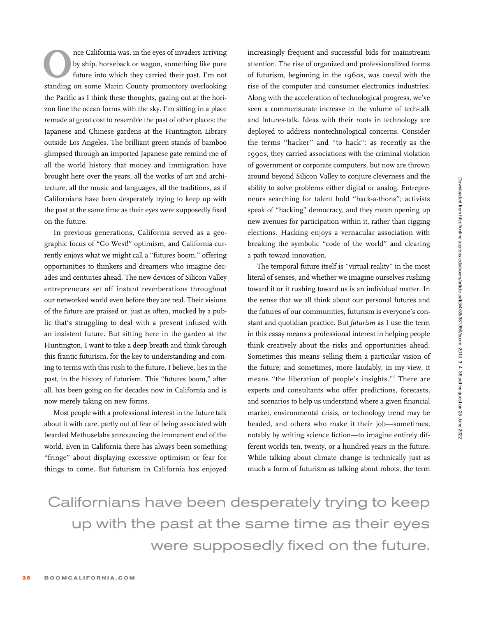The California was, in the eyes of invaders arriving<br>by ship, horseback or wagon, something like pure<br>future into which they carried their past. I'm not<br>standing on some Marin County promontory overlooking by ship, horseback or wagon, something like pure future into which they carried their past. I'm not standing on some Marin County promontory overlooking the Pacific as I think these thoughts, gazing out at the horizon line the ocean forms with the sky. I'm sitting in a place remade at great cost to resemble the past of other places: the Japanese and Chinese gardens at the Huntington Library outside Los Angeles. The brilliant green stands of bamboo glimpsed through an imported Japanese gate remind me of all the world history that money and immigration have brought here over the years, all the works of art and architecture, all the music and languages, all the traditions, as if Californians have been desperately trying to keep up with the past at the same time as their eyes were supposedly fixed on the future.

In previous generations, California served as a geographic focus of ''Go West!'' optimism, and California currently enjoys what we might call a "futures boom," offering opportunities to thinkers and dreamers who imagine decades and centuries ahead. The new devices of Silicon Valley entrepreneurs set off instant reverberations throughout our networked world even before they are real. Their visions of the future are praised or, just as often, mocked by a public that's struggling to deal with a present infused with an insistent future. But sitting here in the garden at the Huntington, I want to take a deep breath and think through this frantic futurism, for the key to understanding and coming to terms with this rush to the future, I believe, lies in the past, in the history of futurism. This "futures boom," after all, has been going on for decades now in California and is now merely taking on new forms.

Most people with a professional interest in the future talk about it with care, partly out of fear of being associated with bearded Methuselahs announcing the immanent end of the world. Even in California there has always been something "fringe" about displaying excessive optimism or fear for things to come. But futurism in California has enjoyed increasingly frequent and successful bids for mainstream attention. The rise of organized and professionalized forms of futurism, beginning in the 1960s, was coeval with the rise of the computer and consumer electronics industries. Along with the acceleration of technological progress, we've seen a commensurate increase in the volume of tech-talk and futures-talk. Ideas with their roots in technology are deployed to address nontechnological concerns. Consider the terms ''hacker'' and ''to hack'': as recently as the 1990s, they carried associations with the criminal violation of government or corporate computers, but now are thrown around beyond Silicon Valley to conjure cleverness and the ability to solve problems either digital or analog. Entrepreneurs searching for talent hold ''hack-a-thons''; activists speak of ''hacking'' democracy, and they mean opening up new avenues for participation within it, rather than rigging elections. Hacking enjoys a vernacular association with breaking the symbolic "code of the world" and clearing a path toward innovation.

The temporal future itself is "virtual reality" in the most literal of senses, and whether we imagine ourselves rushing toward it or it rushing toward us is an individual matter. In the sense that we all think about our personal futures and the futures of our communities, futurism is everyone's constant and quotidian practice. But futurism as I use the term in this essay means a professional interest in helping people think creatively about the risks and opportunities ahead. Sometimes this means selling them a particular vision of the future; and sometimes, more laudably, in my view, it means ''the liberation of people's insights.''<sup>1</sup> There are experts and consultants who offer predictions, forecasts, and scenarios to help us understand where a given financial market, environmental crisis, or technology trend may be headed, and others who make it their job—sometimes, notably by writing science fiction—to imagine entirely different worlds ten, twenty, or a hundred years in the future. While talking about climate change is technically just as much a form of futurism as talking about robots, the term

Californians have been desperately trying to keep up with the past at the same time as their eyes were supposedly fixed on the future.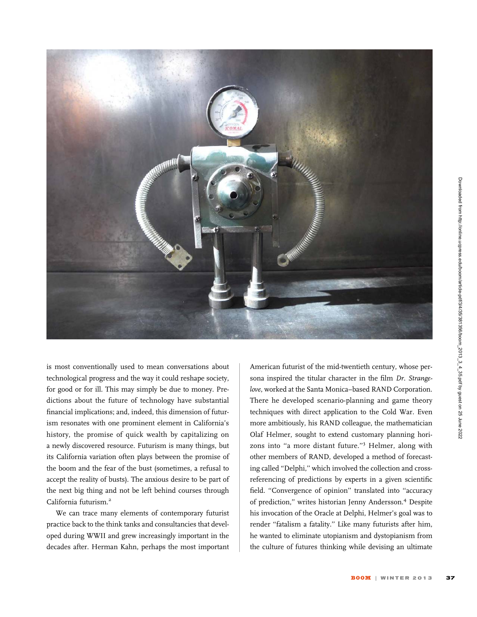

is most conventionally used to mean conversations about technological progress and the way it could reshape society, for good or for ill. This may simply be due to money. Predictions about the future of technology have substantial financial implications; and, indeed, this dimension of futurism resonates with one prominent element in California's history, the promise of quick wealth by capitalizing on a newly discovered resource. Futurism is many things, but its California variation often plays between the promise of the boom and the fear of the bust (sometimes, a refusal to accept the reality of busts). The anxious desire to be part of the next big thing and not be left behind courses through California futurism.<sup>2</sup>

We can trace many elements of contemporary futurist practice back to the think tanks and consultancies that developed during WWII and grew increasingly important in the decades after. Herman Kahn, perhaps the most important American futurist of the mid-twentieth century, whose persona inspired the titular character in the film Dr. Strangelove, worked at the Santa Monica–based RAND Corporation. There he developed scenario-planning and game theory techniques with direct application to the Cold War. Even more ambitiously, his RAND colleague, the mathematician Olaf Helmer, sought to extend customary planning horizons into ''a more distant future.''<sup>3</sup> Helmer, along with other members of RAND, developed a method of forecasting called ''Delphi,'' which involved the collection and crossreferencing of predictions by experts in a given scientific field. "Convergence of opinion" translated into "accuracy of prediction,'' writes historian Jenny Andersson.<sup>4</sup> Despite his invocation of the Oracle at Delphi, Helmer's goal was to render ''fatalism a fatality.'' Like many futurists after him, he wanted to eliminate utopianism and dystopianism from the culture of futures thinking while devising an ultimate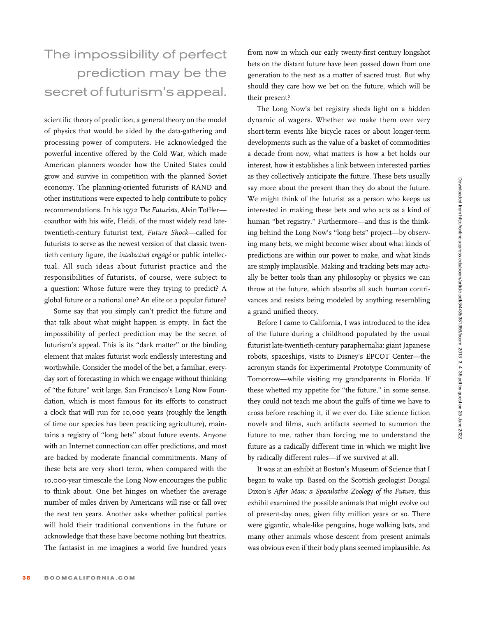## The impossibility of perfect prediction may be the secret of futurism's appeal.

scientific theory of prediction, a general theory on the model of physics that would be aided by the data-gathering and processing power of computers. He acknowledged the powerful incentive offered by the Cold War, which made American planners wonder how the United States could grow and survive in competition with the planned Soviet economy. The planning-oriented futurists of RAND and other institutions were expected to help contribute to policy recommendations. In his 1972 The Futurists, Alvin Toffler coauthor with his wife, Heidi, of the most widely read latetwentieth-century futurist text, Future Shock—called for futurists to serve as the newest version of that classic twentieth century figure, the intellectuel engagé or public intellectual. All such ideas about futurist practice and the responsibilities of futurists, of course, were subject to a question: Whose future were they trying to predict? A global future or a national one? An elite or a popular future?

Some say that you simply can't predict the future and that talk about what might happen is empty. In fact the impossibility of perfect prediction may be the secret of futurism's appeal. This is its "dark matter" or the binding element that makes futurist work endlessly interesting and worthwhile. Consider the model of the bet, a familiar, everyday sort of forecasting in which we engage without thinking of ''the future'' writ large. San Francisco's Long Now Foundation, which is most famous for its efforts to construct a clock that will run for 10,000 years (roughly the length of time our species has been practicing agriculture), maintains a registry of ''long bets'' about future events. Anyone with an Internet connection can offer predictions, and most are backed by moderate financial commitments. Many of these bets are very short term, when compared with the 10,000-year timescale the Long Now encourages the public to think about. One bet hinges on whether the average number of miles driven by Americans will rise or fall over the next ten years. Another asks whether political parties will hold their traditional conventions in the future or acknowledge that these have become nothing but theatrics. The fantasist in me imagines a world five hundred years

from now in which our early twenty-first century longshot bets on the distant future have been passed down from one generation to the next as a matter of sacred trust. But why should they care how we bet on the future, which will be their present?

The Long Now's bet registry sheds light on a hidden dynamic of wagers. Whether we make them over very short-term events like bicycle races or about longer-term developments such as the value of a basket of commodities a decade from now, what matters is how a bet holds our interest, how it establishes a link between interested parties as they collectively anticipate the future. These bets usually say more about the present than they do about the future. We might think of the futurist as a person who keeps us interested in making these bets and who acts as a kind of human ''bet registry.'' Furthermore—and this is the thinking behind the Long Now's ''long bets'' project—by observing many bets, we might become wiser about what kinds of predictions are within our power to make, and what kinds are simply implausible. Making and tracking bets may actually be better tools than any philosophy or physics we can throw at the future, which absorbs all such human contrivances and resists being modeled by anything resembling a grand unified theory.

Before I came to California, I was introduced to the idea of the future during a childhood populated by the usual futurist late-twentieth-century paraphernalia: giant Japanese robots, spaceships, visits to Disney's EPCOT Center—the acronym stands for Experimental Prototype Community of Tomorrow—while visiting my grandparents in Florida. If these whetted my appetite for ''the future,'' in some sense, they could not teach me about the gulfs of time we have to cross before reaching it, if we ever do. Like science fiction novels and films, such artifacts seemed to summon the future to me, rather than forcing me to understand the future as a radically different time in which we might live by radically different rules—if we survived at all.

It was at an exhibit at Boston's Museum of Science that I began to wake up. Based on the Scottish geologist Dougal Dixon's After Man: a Speculative Zoology of the Future, this exhibit examined the possible animals that might evolve out of present-day ones, given fifty million years or so. There were gigantic, whale-like penguins, huge walking bats, and many other animals whose descent from present animals was obvious even if their body plans seemed implausible. As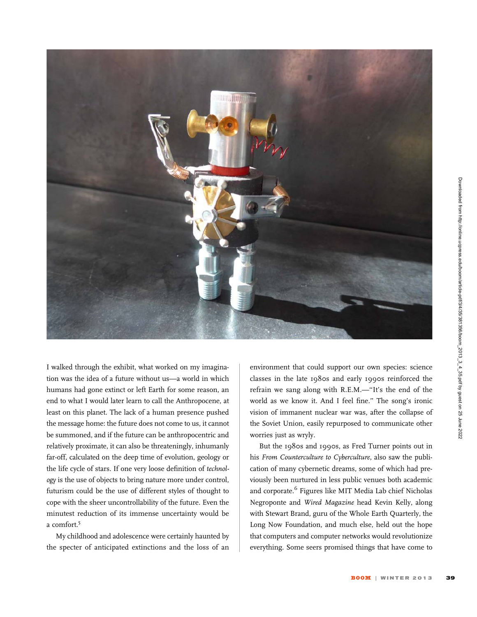![](_page_4_Picture_0.jpeg)

I walked through the exhibit, what worked on my imagination was the idea of a future without us—a world in which humans had gone extinct or left Earth for some reason, an end to what I would later learn to call the Anthropocene, at least on this planet. The lack of a human presence pushed the message home: the future does not come to us, it cannot be summoned, and if the future can be anthropocentric and relatively proximate, it can also be threateningly, inhumanly far-off, calculated on the deep time of evolution, geology or the life cycle of stars. If one very loose definition of technology is the use of objects to bring nature more under control, futurism could be the use of different styles of thought to cope with the sheer uncontrollability of the future. Even the minutest reduction of its immense uncertainty would be a comfort.<sup>5</sup>

My childhood and adolescence were certainly haunted by the specter of anticipated extinctions and the loss of an environment that could support our own species: science classes in the late 1980s and early 1990s reinforced the refrain we sang along with R.E.M.—''It's the end of the world as we know it. And I feel fine.'' The song's ironic vision of immanent nuclear war was, after the collapse of the Soviet Union, easily repurposed to communicate other worries just as wryly.

But the 1980s and 1990s, as Fred Turner points out in his From Counterculture to Cyberculture, also saw the publication of many cybernetic dreams, some of which had previously been nurtured in less public venues both academic and corporate.<sup>6</sup> Figures like MIT Media Lab chief Nicholas Negroponte and Wired Magazine head Kevin Kelly, along with Stewart Brand, guru of the Whole Earth Quarterly, the Long Now Foundation, and much else, held out the hope that computers and computer networks would revolutionize everything. Some seers promised things that have come to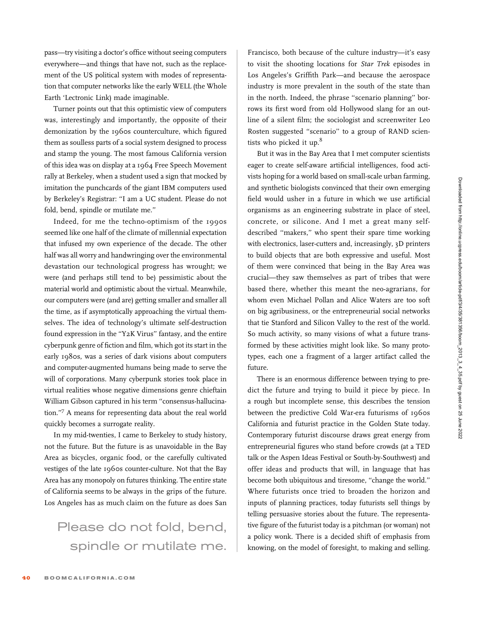pass—try visiting a doctor's office without seeing computers everywhere—and things that have not, such as the replacement of the US political system with modes of representation that computer networks like the early WELL (the Whole Earth 'Lectronic Link) made imaginable.

Turner points out that this optimistic view of computers was, interestingly and importantly, the opposite of their demonization by the 1960s counterculture, which figured them as soulless parts of a social system designed to process and stamp the young. The most famous California version of this idea was on display at a 1964 Free Speech Movement rally at Berkeley, when a student used a sign that mocked by imitation the punchcards of the giant IBM computers used by Berkeley's Registrar: ''I am a UC student. Please do not fold, bend, spindle or mutilate me.''

Indeed, for me the techno-optimism of the 1990s seemed like one half of the climate of millennial expectation that infused my own experience of the decade. The other half was all worry and handwringing over the environmental devastation our technological progress has wrought; we were (and perhaps still tend to be) pessimistic about the material world and optimistic about the virtual. Meanwhile, our computers were (and are) getting smaller and smaller all the time, as if asymptotically approaching the virtual themselves. The idea of technology's ultimate self-destruction found expression in the ''Y2K Virus'' fantasy, and the entire cyberpunk genre of fiction and film, which got its start in the early 1980s, was a series of dark visions about computers and computer-augmented humans being made to serve the will of corporations. Many cyberpunk stories took place in virtual realities whose negative dimensions genre chieftain William Gibson captured in his term ''consensus-hallucination.''<sup>7</sup> A means for representing data about the real world quickly becomes a surrogate reality.

In my mid-twenties, I came to Berkeley to study history, not the future. But the future is as unavoidable in the Bay Area as bicycles, organic food, or the carefully cultivated vestiges of the late 1960s counter-culture. Not that the Bay Area has any monopoly on futures thinking. The entire state of California seems to be always in the grips of the future. Los Angeles has as much claim on the future as does San

## Please do not fold, bend, spindle or mutilate me.

Francisco, both because of the culture industry—it's easy to visit the shooting locations for Star Trek episodes in Los Angeles's Griffith Park—and because the aerospace industry is more prevalent in the south of the state than in the north. Indeed, the phrase ''scenario planning'' borrows its first word from old Hollywood slang for an outline of a silent film; the sociologist and screenwriter Leo Rosten suggested ''scenario'' to a group of RAND scientists who picked it up.<sup>8</sup>

But it was in the Bay Area that I met computer scientists eager to create self-aware artificial intelligences, food activists hoping for a world based on small-scale urban farming, and synthetic biologists convinced that their own emerging field would usher in a future in which we use artificial organisms as an engineering substrate in place of steel, concrete, or silicone. And I met a great many selfdescribed ''makers,'' who spent their spare time working with electronics, laser-cutters and, increasingly, 3D printers to build objects that are both expressive and useful. Most of them were convinced that being in the Bay Area was crucial—they saw themselves as part of tribes that were based there, whether this meant the neo-agrarians, for whom even Michael Pollan and Alice Waters are too soft on big agribusiness, or the entrepreneurial social networks that tie Stanford and Silicon Valley to the rest of the world. So much activity, so many visions of what a future transformed by these activities might look like. So many prototypes, each one a fragment of a larger artifact called the future.

There is an enormous difference between trying to predict the future and trying to build it piece by piece. In a rough but incomplete sense, this describes the tension between the predictive Cold War-era futurisms of 1960s California and futurist practice in the Golden State today. Contemporary futurist discourse draws great energy from entrepreneurial figures who stand before crowds (at a TED talk or the Aspen Ideas Festival or South-by-Southwest) and offer ideas and products that will, in language that has become both ubiquitous and tiresome, ''change the world.'' Where futurists once tried to broaden the horizon and inputs of planning practices, today futurists sell things by telling persuasive stories about the future. The representative figure of the futurist today is a pitchman (or woman) not a policy wonk. There is a decided shift of emphasis from knowing, on the model of foresight, to making and selling.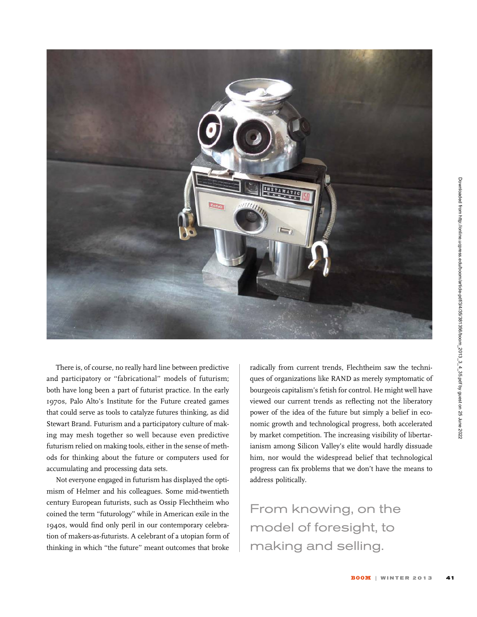![](_page_6_Picture_0.jpeg)

There is, of course, no really hard line between predictive and participatory or "fabricational" models of futurism; both have long been a part of futurist practice. In the early 1970s, Palo Alto's Institute for the Future created games that could serve as tools to catalyze futures thinking, as did Stewart Brand. Futurism and a participatory culture of making may mesh together so well because even predictive futurism relied on making tools, either in the sense of methods for thinking about the future or computers used for accumulating and processing data sets.

Not everyone engaged in futurism has displayed the optimism of Helmer and his colleagues. Some mid-twentieth century European futurists, such as Ossip Flechtheim who coined the term ''futurology'' while in American exile in the 1940s, would find only peril in our contemporary celebration of makers-as-futurists. A celebrant of a utopian form of thinking in which ''the future'' meant outcomes that broke

radically from current trends, Flechtheim saw the techniques of organizations like RAND as merely symptomatic of bourgeois capitalism's fetish for control. He might well have viewed our current trends as reflecting not the liberatory power of the idea of the future but simply a belief in economic growth and technological progress, both accelerated by market competition. The increasing visibility of libertarianism among Silicon Valley's elite would hardly dissuade him, nor would the widespread belief that technological progress can fix problems that we don't have the means to address politically.

From knowing, on the model of foresight, to making and selling.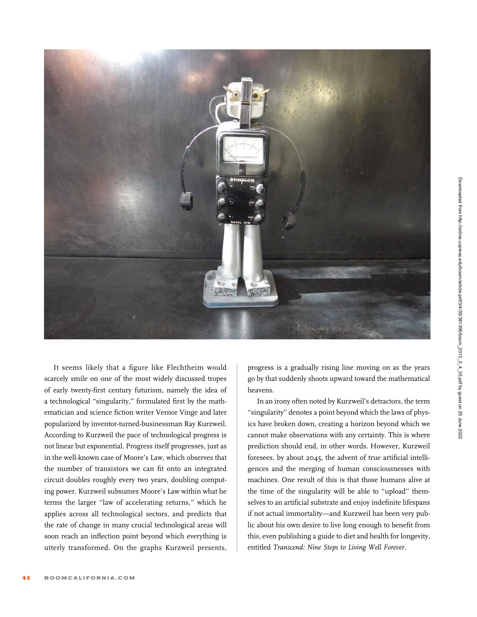![](_page_7_Picture_0.jpeg)

It seems likely that a figure like Flechtheim would scarcely smile on one of the most widely discussed tropes of early twenty-first century futurism, namely the idea of a technological ''singularity,'' formulated first by the mathematician and science fiction writer Vernor Vinge and later popularized by inventor-turned-businessman Ray Kurzweil. According to Kurzweil the pace of technological progress is not linear but exponential. Progress itself progresses, just as in the well-known case of Moore's Law, which observes that the number of transistors we can fit onto an integrated circuit doubles roughly every two years, doubling computing power. Kurzweil subsumes Moore's Law within what he terms the larger ''law of accelerating returns,'' which he applies across all technological sectors, and predicts that the rate of change in many crucial technological areas will soon reach an inflection point beyond which everything is utterly transformed. On the graphs Kurzweil presents,

progress is a gradually rising line moving on as the years go by that suddenly shoots upward toward the mathematical heavens.

In an irony often noted by Kurzweil's detractors, the term ''singularity'' denotes a point beyond which the laws of physics have broken down, creating a horizon beyond which we cannot make observations with any certainty. This is where prediction should end, in other words. However, Kurzweil foresees, by about 2045, the advent of true artificial intelligences and the merging of human consciousnesses with machines. One result of this is that those humans alive at the time of the singularity will be able to ''upload'' themselves to an artificial substrate and enjoy indefinite lifespans if not actual immortality—and Kurzweil has been very public about his own desire to live long enough to benefit from this, even publishing a guide to diet and health for longevity, entitled Transcend: Nine Steps to Living Well Forever.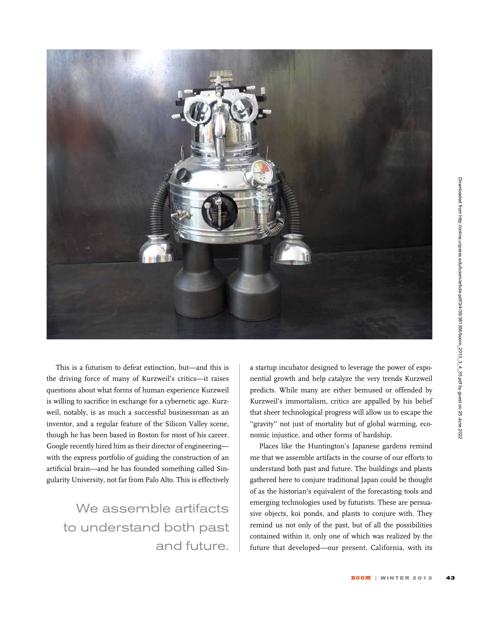![](_page_8_Picture_0.jpeg)

This is a futurism to defeat extinction, but—and this is the driving force of many of Kurzweil's critics—it raises questions about what forms of human experience Kurzweil is willing to sacrifice in exchange for a cybernetic age. Kurzweil, notably, is as much a successful businessman as an inventor, and a regular feature of the Silicon Valley scene, though he has been based in Boston for most of his career. Google recently hired him as their director of engineering with the express portfolio of guiding the construction of an artificial brain—and he has founded something called Singularity University, not far from Palo Alto. This is effectively

We assemble artifacts to understand both past and future. a startup incubator designed to leverage the power of exponential growth and help catalyze the very trends Kurzweil predicts. While many are either bemused or offended by Kurzweil's immortalism, critics are appalled by his belief that sheer technological progress will allow us to escape the "gravity" not just of mortality but of global warming, economic injustice, and other forms of hardship.

Places like the Huntington's Japanese gardens remind me that we assemble artifacts in the course of our efforts to understand both past and future. The buildings and plants gathered here to conjure traditional Japan could be thought of as the historian's equivalent of the forecasting tools and emerging technologies used by futurists. These are persuasive objects, koi ponds, and plants to conjure with. They remind us not only of the past, but of all the possibilities contained within it, only one of which was realized by the future that developed—our present. California, with its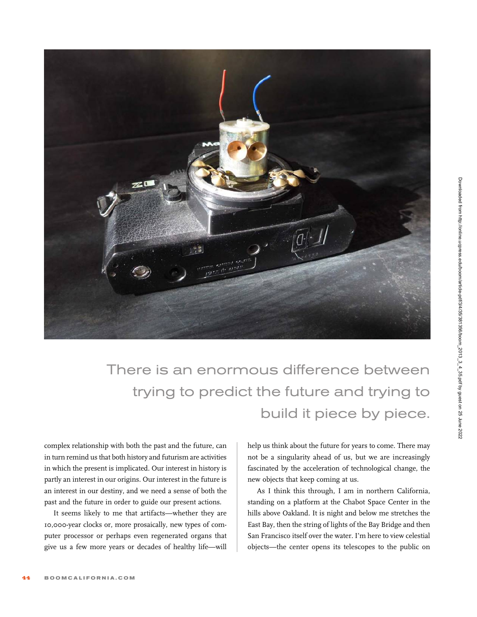![](_page_9_Picture_0.jpeg)

There is an enormous difference between trying to predict the future and trying to build it piece by piece.

complex relationship with both the past and the future, can in turn remind us that both history and futurism are activities in which the present is implicated. Our interest in history is partly an interest in our origins. Our interest in the future is an interest in our destiny, and we need a sense of both the past and the future in order to guide our present actions.

It seems likely to me that artifacts—whether they are 10,000-year clocks or, more prosaically, new types of computer processor or perhaps even regenerated organs that give us a few more years or decades of healthy life—will

help us think about the future for years to come. There may not be a singularity ahead of us, but we are increasingly fascinated by the acceleration of technological change, the new objects that keep coming at us.

As I think this through, I am in northern California, standing on a platform at the Chabot Space Center in the hills above Oakland. It is night and below me stretches the East Bay, then the string of lights of the Bay Bridge and then San Francisco itself over the water. I'm here to view celestial objects—the center opens its telescopes to the public on